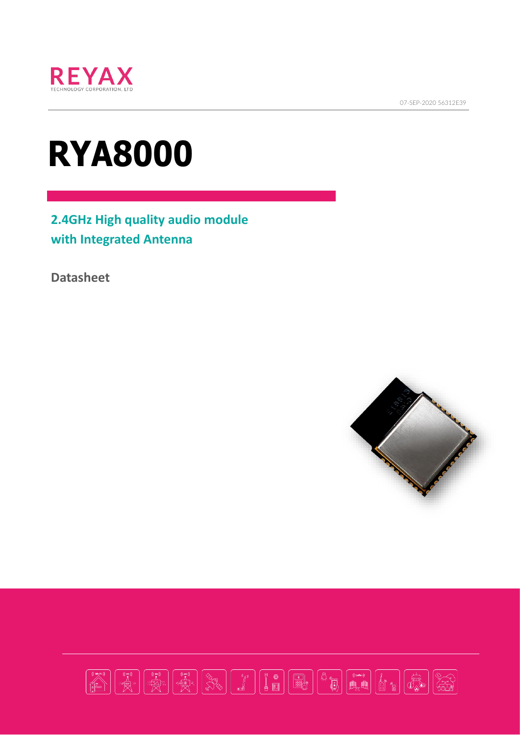



# **RYA8000**

**2.4GHz High quality audio module with Integrated Antenna**

**Datasheet**



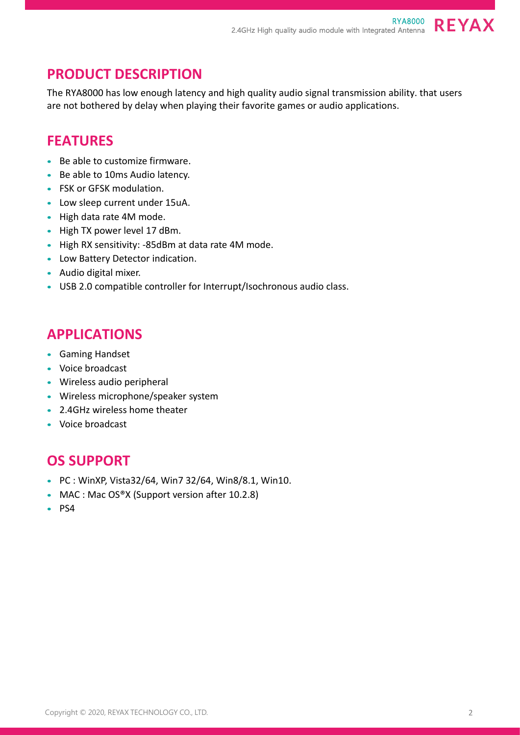**REYAX** 

## **PRODUCT DESCRIPTION**

The RYA8000 has low enough latency and high quality audio signal transmission ability. that users are not bothered by delay when playing their favorite games or audio applications.

## **FEATURES**

- Be able to customize firmware.
- Be able to 10ms Audio latency.
- FSK or GFSK modulation.
- Low sleep current under 15uA.
- High data rate 4M mode.
- High TX power level 17 dBm.
- High RX sensitivity: -85dBm at data rate 4M mode.
- Low Battery Detector indication.
- Audio digital mixer.
- USB 2.0 compatible controller for Interrupt/Isochronous audio class.

## **APPLICATIONS**

- Gaming Handset
- Voice broadcast
- Wireless audio peripheral
- Wireless microphone/speaker system
- 2.4GHz wireless home theater
- Voice broadcast

## **OS SUPPORT**

- PC : WinXP, Vista32/64, Win7 32/64, Win8/8.1, Win10.
- MAC : Mac OS®X (Support version after 10.2.8)
- PS4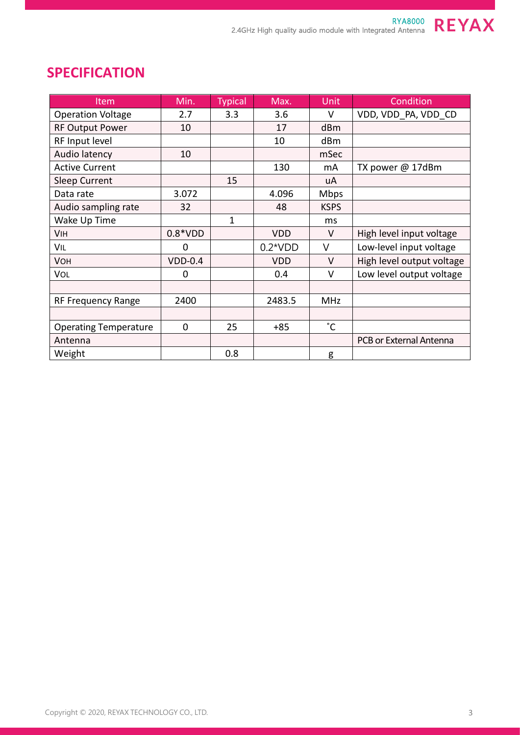## Item Min. Typical Max. Unit Condition Operation Voltage  $\begin{vmatrix} 2.7 & 3.3 & 3.6 & 1 & 1 \end{vmatrix}$  V  $\begin{vmatrix} 2.7 & 2.7 & 3.3 & 3.6 \end{vmatrix}$  v  $\begin{vmatrix} 2.6 & 2.7 & 2.7 & 2.7 \end{vmatrix}$ RF Output Power | 10 | 17 | dBm RF Input level | | | | | | | | dBm Audio latency 10 | and in Sec Active Current 130 mA TX power @ 17dBm Sleep Current  $\begin{vmatrix} 1 & 15 & 1 \end{vmatrix}$  uA Data rate 1 3.072 | 4.096 Mbps Audio sampling rate  $\begin{vmatrix} 32 & 1 \end{vmatrix}$  48 KSPS Wake Up Time 1 ms VIH  $\vert$  0.8\*VDD  $\vert$  VDD  $\vert$  V High level input voltage VIL 0 0.2\*VDD V Low-level input voltage VOH VDD-0.4 VDD-0.4 VDD VDD V High level output voltage VOL 0 0 0.4 V Low level output voltage RF Frequency Range | 2400 | 2483.5 | MHz Operating Temperature | 0 | 25 | +85 | °C Antenna <sup>|</sup> | | | | | | | | | | | PCB or External Antenna Weight | 0.8 | g

## **SPECIFICATION**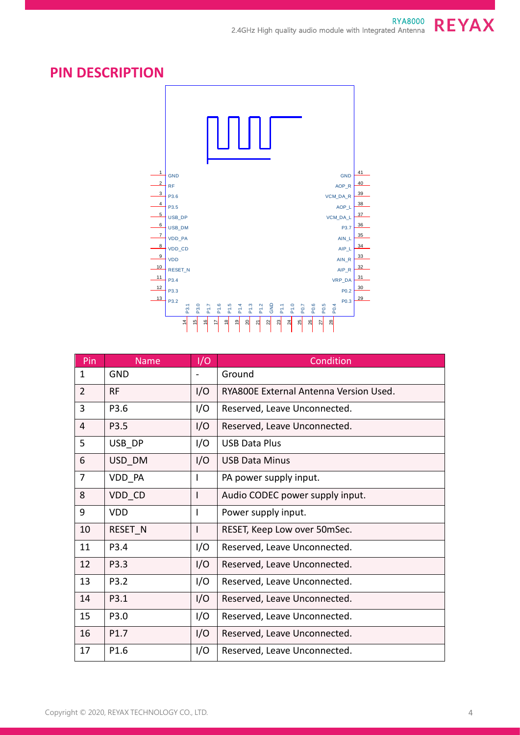

## **PIN DESCRIPTION**



| Pin            | <b>Name</b> | I/O | Condition                              |
|----------------|-------------|-----|----------------------------------------|
| $\mathbf{1}$   | <b>GND</b>  |     | Ground                                 |
| $\overline{2}$ | <b>RF</b>   | I/O | RYA800E External Antenna Version Used. |
| 3              | P3.6        | I/O | Reserved, Leave Unconnected.           |
| $\overline{4}$ | P3.5        | I/O | Reserved, Leave Unconnected.           |
| 5              | USB DP      | I/O | <b>USB Data Plus</b>                   |
| 6              | USD_DM      | I/O | <b>USB Data Minus</b>                  |
| $\overline{7}$ | VDD_PA      | I   | PA power supply input.                 |
| 8              | VDD_CD      | I   | Audio CODEC power supply input.        |
| 9              | <b>VDD</b>  | I   | Power supply input.                    |
| 10             | RESET N     |     | RESET, Keep Low over 50mSec.           |
| 11             | P3.4        | I/O | Reserved, Leave Unconnected.           |
| 12             | P3.3        | I/O | Reserved, Leave Unconnected.           |
| 13             | P3.2        | I/O | Reserved, Leave Unconnected.           |
| 14             | P3.1        | I/O | Reserved, Leave Unconnected.           |
| 15             | P3.0        | I/O | Reserved, Leave Unconnected.           |
| 16             | P1.7        | I/O | Reserved, Leave Unconnected.           |
| 17             | P1.6        | I/O | Reserved, Leave Unconnected.           |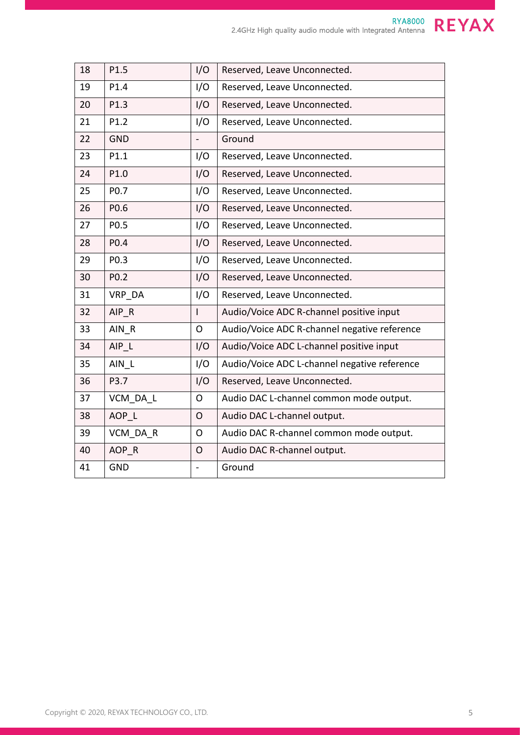| 18 | P1.5             | I/O                      | Reserved, Leave Unconnected.                 |
|----|------------------|--------------------------|----------------------------------------------|
| 19 | P1.4             | I/O                      | Reserved, Leave Unconnected.                 |
| 20 | P1.3             | I/O                      | Reserved, Leave Unconnected.                 |
| 21 | P1.2             | I/O                      | Reserved, Leave Unconnected.                 |
| 22 | <b>GND</b>       | $\overline{\phantom{0}}$ | Ground                                       |
| 23 | P1.1             | I/O                      | Reserved, Leave Unconnected.                 |
| 24 | P1.0             | I/O                      | Reserved, Leave Unconnected.                 |
| 25 | P0.7             | I/O                      | Reserved, Leave Unconnected.                 |
| 26 | P0.6             | I/O                      | Reserved, Leave Unconnected.                 |
| 27 | P <sub>0.5</sub> | I/O                      | Reserved, Leave Unconnected.                 |
| 28 | P0.4             | I/O                      | Reserved, Leave Unconnected.                 |
| 29 | P0.3             | I/O                      | Reserved, Leave Unconnected.                 |
| 30 | P <sub>0.2</sub> | I/O                      | Reserved, Leave Unconnected.                 |
| 31 | VRP DA           | I/O                      | Reserved, Leave Unconnected.                 |
| 32 | $AIP_R$          | $\overline{1}$           | Audio/Voice ADC R-channel positive input     |
| 33 | AIN R            | $\overline{O}$           | Audio/Voice ADC R-channel negative reference |
| 34 | AIP L            | I/O                      | Audio/Voice ADC L-channel positive input     |
| 35 | AIN L            | I/O                      | Audio/Voice ADC L-channel negative reference |
| 36 | P3.7             | I/O                      | Reserved, Leave Unconnected.                 |
| 37 | VCM DA L         | $\overline{O}$           | Audio DAC L-channel common mode output.      |
| 38 | AOP L            | $\overline{O}$           | Audio DAC L-channel output.                  |
| 39 | VCM DA R         | $\overline{O}$           | Audio DAC R-channel common mode output.      |
| 40 | AOP_R            | $\mathsf{O}$             | Audio DAC R-channel output.                  |
| 41 | <b>GND</b>       |                          | Ground                                       |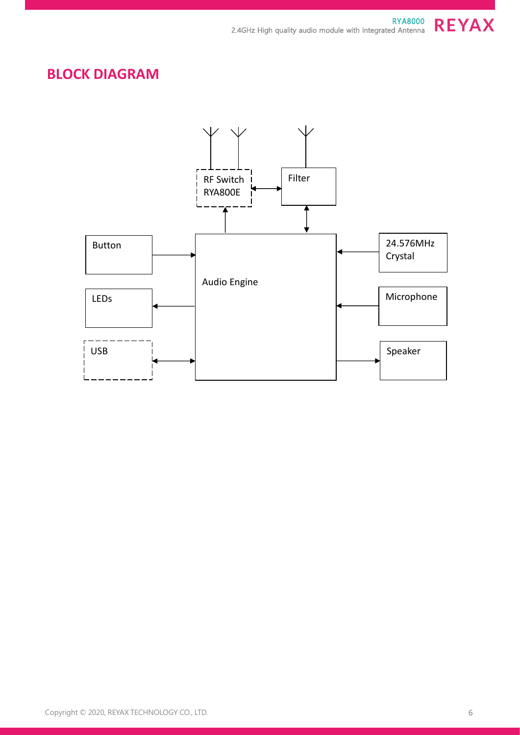## **BLOCK DIAGRAM**

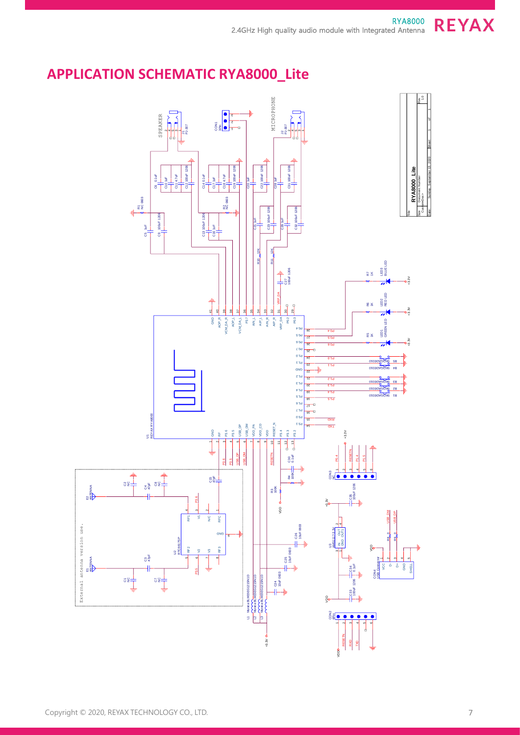## **APPLICATION SCHEMATIC RYA8000\_Lite**

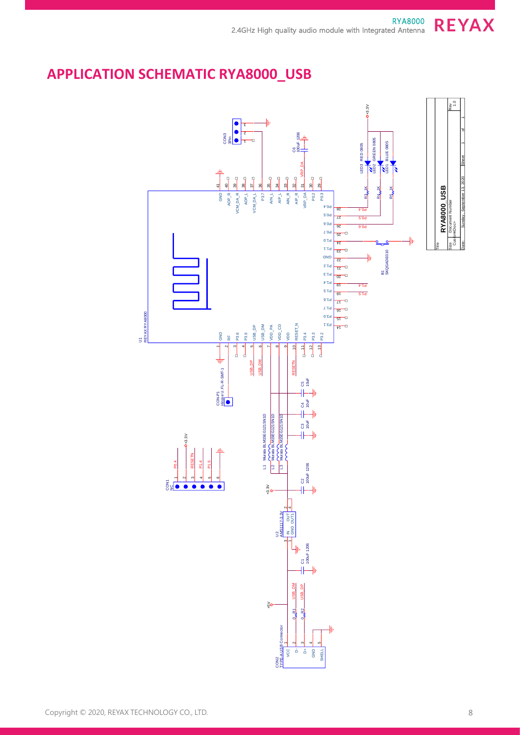## **APPLICATION SCHEMATIC RYA8000\_USB**

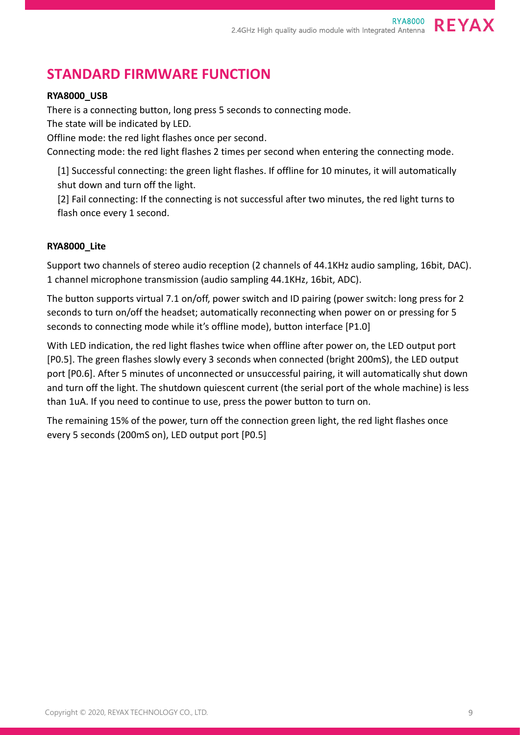## **STANDARD FIRMWARE FUNCTION**

### **RYA8000\_USB**

There is a connecting button, long press 5 seconds to connecting mode.

The state will be indicated by LED.

Offline mode: the red light flashes once per second.

Connecting mode: the red light flashes 2 times per second when entering the connecting mode.

[1] Successful connecting: the green light flashes. If offline for 10 minutes, it will automatically shut down and turn off the light.

[2] Fail connecting: If the connecting is not successful after two minutes, the red light turns to flash once every 1 second.

#### **RYA8000\_Lite**

Support two channels of stereo audio reception (2 channels of 44.1KHz audio sampling, 16bit, DAC). 1 channel microphone transmission (audio sampling 44.1KHz, 16bit, ADC).

The button supports virtual 7.1 on/off, power switch and ID pairing (power switch: long press for 2 seconds to turn on/off the headset; automatically reconnecting when power on or pressing for 5 seconds to connecting mode while it's offline mode), button interface [P1.0]

With LED indication, the red light flashes twice when offline after power on, the LED output port [P0.5]. The green flashes slowly every 3 seconds when connected (bright 200mS), the LED output port [P0.6]. After 5 minutes of unconnected or unsuccessful pairing, it will automatically shut down and turn off the light. The shutdown quiescent current (the serial port of the whole machine) is less than 1uA. If you need to continue to use, press the power button to turn on.

The remaining 15% of the power, turn off the connection green light, the red light flashes once every 5 seconds (200mS on), LED output port [P0.5]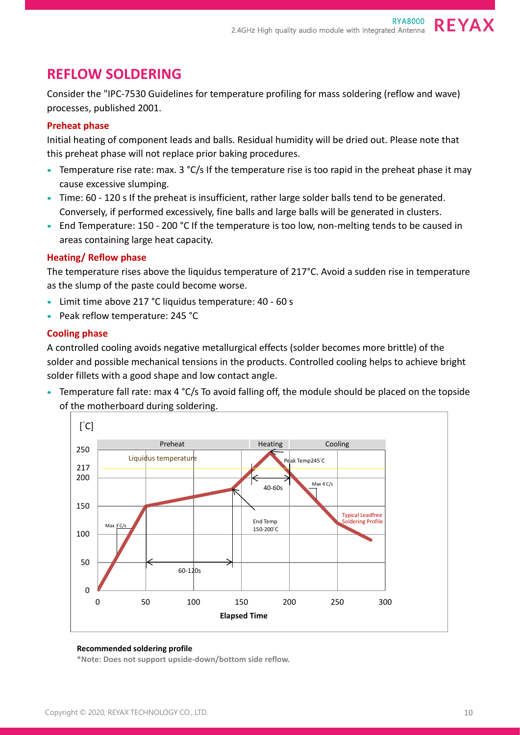## **REFLOW SOLDERING**

Consider the "IPC-7530 Guidelines for temperature profiling for mass soldering (reflow and wave) processes, published 2001.

#### **Preheat phase**

Initial heating of component leads and balls. Residual humidity will be dried out. Please note that this preheat phase will not replace prior baking procedures.

- Temperature rise rate: max. 3 °C/s If the temperature rise is too rapid in the preheat phase it may cause excessive slumping.
- Time: 60 120 s If the preheat is insufficient, rather large solder balls tend to be generated. Conversely, if performed excessively, fine balls and large balls will be generated in clusters.
- End Temperature: 150 200 °C If the temperature is too low, non-melting tends to be caused in areas containing large heat capacity.

#### **Heating/ Reflow phase**

The temperature rises above the liquidus temperature of 217°C. Avoid a sudden rise in temperature as the slump of the paste could become worse.

- Limit time above 217 °C liquidus temperature: 40 60 s
- Peak reflow temperature: 245 °C

#### **Cooling phase**

A controlled cooling avoids negative metallurgical effects (solder becomes more brittle) of the solder and possible mechanical tensions in the products. Controlled cooling helps to achieve bright solder fillets with a good shape and low contact angle.

• Temperature fall rate: max 4 °C/s To avoid falling off, the module should be placed on the topside of the motherboard during soldering.



#### **Recommended soldering profile**

**\*Note: Does not support upside-down/bottom side reflow.**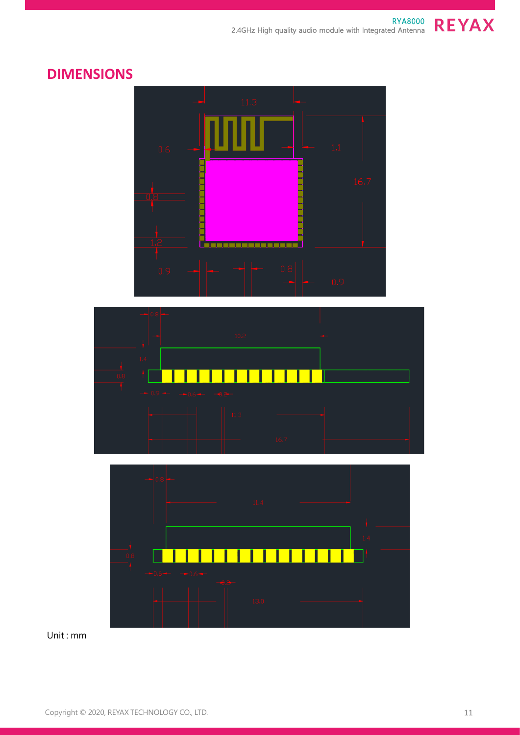

## **DIMENSIONS**





Unit : mm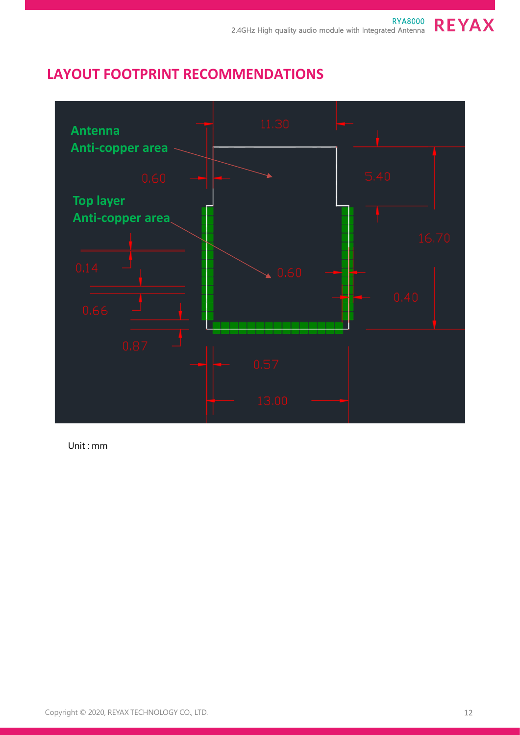## **LAYOUT FOOTPRINT RECOMMENDATIONS**



Unit : mm